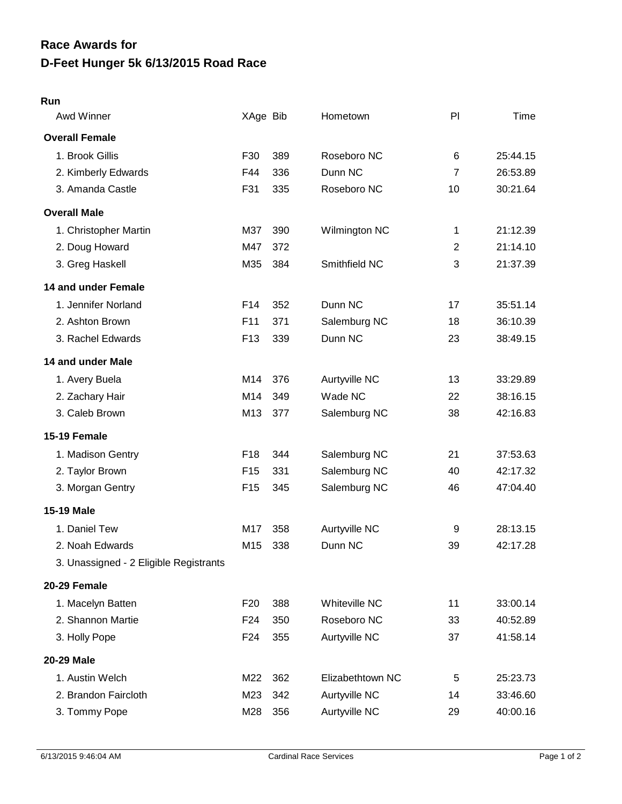## **Run**

| Awd Winner                             | XAge Bib        |     | Hometown             | PI             | Time     |
|----------------------------------------|-----------------|-----|----------------------|----------------|----------|
| <b>Overall Female</b>                  |                 |     |                      |                |          |
| 1. Brook Gillis                        | F30             | 389 | Roseboro NC          | 6              | 25:44.15 |
| 2. Kimberly Edwards                    | F44             | 336 | Dunn NC              | $\overline{7}$ | 26:53.89 |
| 3. Amanda Castle                       | F31             | 335 | Roseboro NC          | 10             | 30:21.64 |
| <b>Overall Male</b>                    |                 |     |                      |                |          |
| 1. Christopher Martin                  | M37             | 390 | Wilmington NC        | 1              | 21:12.39 |
| 2. Doug Howard                         | M47             | 372 |                      | $\overline{2}$ | 21:14.10 |
| 3. Greg Haskell                        | M35             | 384 | Smithfield NC        | 3              | 21:37.39 |
| 14 and under Female                    |                 |     |                      |                |          |
| 1. Jennifer Norland                    | F <sub>14</sub> | 352 | Dunn NC              | 17             | 35:51.14 |
| 2. Ashton Brown                        | F <sub>11</sub> | 371 | Salemburg NC         | 18             | 36:10.39 |
| 3. Rachel Edwards                      | F <sub>13</sub> | 339 | Dunn NC              | 23             | 38:49.15 |
| 14 and under Male                      |                 |     |                      |                |          |
| 1. Avery Buela                         | M14             | 376 | Aurtyville NC        | 13             | 33:29.89 |
| 2. Zachary Hair                        | M14             | 349 | Wade NC              | 22             | 38:16.15 |
| 3. Caleb Brown                         | M13             | 377 | Salemburg NC         | 38             | 42:16.83 |
| 15-19 Female                           |                 |     |                      |                |          |
| 1. Madison Gentry                      | F <sub>18</sub> | 344 | Salemburg NC         | 21             | 37:53.63 |
| 2. Taylor Brown                        | F <sub>15</sub> | 331 | Salemburg NC         | 40             | 42:17.32 |
| 3. Morgan Gentry                       | F <sub>15</sub> | 345 | Salemburg NC         | 46             | 47:04.40 |
| 15-19 Male                             |                 |     |                      |                |          |
| 1. Daniel Tew                          | M17             | 358 | Aurtyville NC        | 9              | 28:13.15 |
| 2. Noah Edwards                        | M15             | 338 | Dunn NC              | 39             | 42:17.28 |
| 3. Unassigned - 2 Eligible Registrants |                 |     |                      |                |          |
| 20-29 Female                           |                 |     |                      |                |          |
| 1. Macelyn Batten                      | F <sub>20</sub> | 388 | <b>Whiteville NC</b> | 11             | 33:00.14 |
| 2. Shannon Martie                      | F <sub>24</sub> | 350 | Roseboro NC          | 33             | 40:52.89 |
| 3. Holly Pope                          | F <sub>24</sub> | 355 | Aurtyville NC        | 37             | 41:58.14 |
| 20-29 Male                             |                 |     |                      |                |          |
| 1. Austin Welch                        | M22             | 362 | Elizabethtown NC     | 5              | 25:23.73 |
| 2. Brandon Faircloth                   | M23             | 342 | Aurtyville NC        | 14             | 33:46.60 |
| 3. Tommy Pope                          | M28             | 356 | Aurtyville NC        | 29             | 40:00.16 |